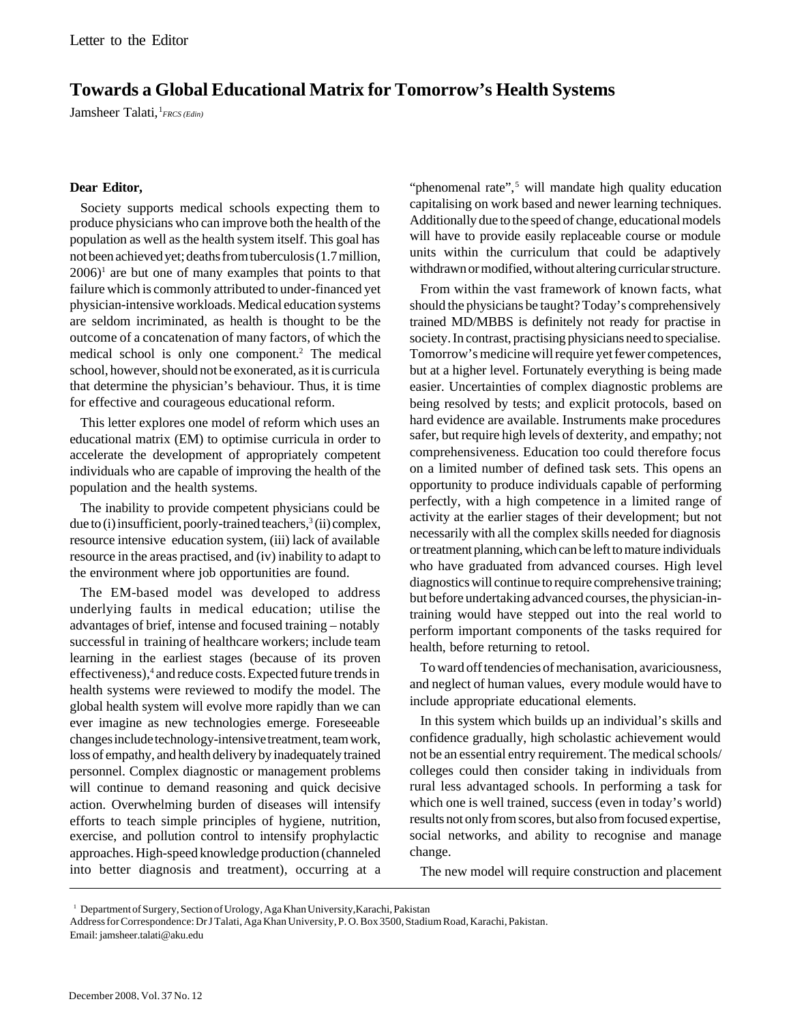## **Towards a Global Educational Matrix for Tomorrow's Health Systems**

Jamsheer Talati, <sup>1</sup>FRCS (Edin)

## **Dear Editor,**

Society supports medical schools expecting them to produce physicians who can improve both the health of the population as well as the health system itself. This goal has not been achieved yet; deaths from tuberculosis (1.7 million,  $2006$ <sup>1</sup> are but one of many examples that points to that failure which is commonly attributed to under-financed yet physician-intensive workloads. Medical education systems are seldom incriminated, as health is thought to be the outcome of a concatenation of many factors, of which the medical school is only one component.<sup>2</sup> The medical school, however, should not be exonerated, as it is curricula that determine the physician's behaviour. Thus, it is time for effective and courageous educational reform.

This letter explores one model of reform which uses an educational matrix (EM) to optimise curricula in order to accelerate the development of appropriately competent individuals who are capable of improving the health of the population and the health systems.

The inability to provide competent physicians could be due to (i) insufficient, poorly-trained teachers,<sup>3</sup> (ii) complex, resource intensive education system, (iii) lack of available resource in the areas practised, and (iv) inability to adapt to the environment where job opportunities are found.

The EM-based model was developed to address underlying faults in medical education; utilise the advantages of brief, intense and focused training – notably successful in training of healthcare workers; include team learning in the earliest stages (because of its proven effectiveness),<sup>4</sup> and reduce costs. Expected future trends in health systems were reviewed to modify the model. The global health system will evolve more rapidly than we can ever imagine as new technologies emerge. Foreseeable changes include technology-intensive treatment, team work, loss of empathy, and health delivery by inadequately trained personnel. Complex diagnostic or management problems will continue to demand reasoning and quick decisive action. Overwhelming burden of diseases will intensify efforts to teach simple principles of hygiene, nutrition, exercise, and pollution control to intensify prophylactic approaches. High-speed knowledge production (channeled into better diagnosis and treatment), occurring at a

"phenomenal rate",<sup>5</sup> will mandate high quality education capitalising on work based and newer learning techniques. Additionally due to the speed of change, educational models will have to provide easily replaceable course or module units within the curriculum that could be adaptively withdrawn or modified, without altering curricular structure.

From within the vast framework of known facts, what should the physicians be taught? Today's comprehensively trained MD/MBBS is definitely not ready for practise in society. In contrast, practising physicians need to specialise. Tomorrow's medicine will require yet fewer competences, but at a higher level. Fortunately everything is being made easier. Uncertainties of complex diagnostic problems are being resolved by tests; and explicit protocols, based on hard evidence are available. Instruments make procedures safer, but require high levels of dexterity, and empathy; not comprehensiveness. Education too could therefore focus on a limited number of defined task sets. This opens an opportunity to produce individuals capable of performing perfectly, with a high competence in a limited range of activity at the earlier stages of their development; but not necessarily with all the complex skills needed for diagnosis or treatment planning, which can be left to mature individuals who have graduated from advanced courses. High level diagnostics will continue to require comprehensive training; but before undertaking advanced courses, the physician-intraining would have stepped out into the real world to perform important components of the tasks required for health, before returning to retool.

To ward off tendencies of mechanisation, avariciousness, and neglect of human values, every module would have to include appropriate educational elements.

In this system which builds up an individual's skills and confidence gradually, high scholastic achievement would not be an essential entry requirement. The medical schools/ colleges could then consider taking in individuals from rural less advantaged schools. In performing a task for which one is well trained, success (even in today's world) results not only from scores, but also from focused expertise, social networks, and ability to recognise and manage change.

The new model will require construction and placement

<sup>&</sup>lt;sup>1</sup> Department of Surgery, Section of Urology, Aga Khan University, Karachi, Pakistan

Address for Correspondence: Dr J Talati, Aga Khan University, P. O. Box 3500, Stadium Road, Karachi, Pakistan. Email: jamsheer.talati@aku.edu